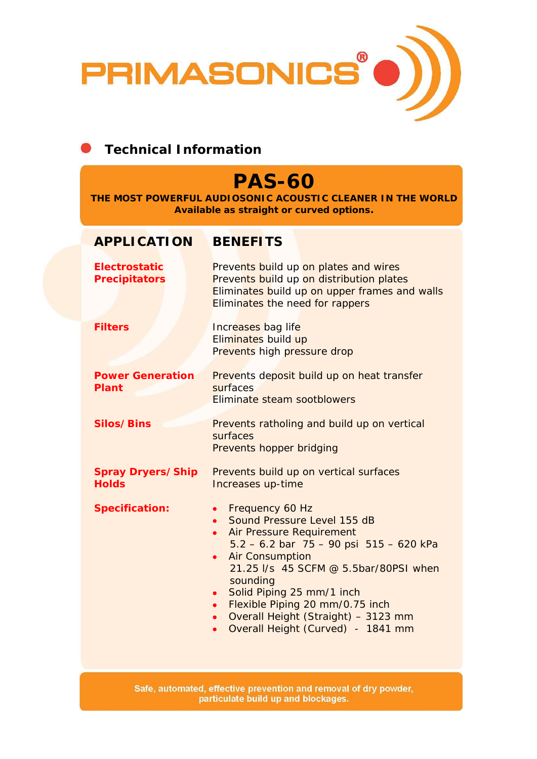

### **Technical Information**

# **PAS-60**

**THE MOST POWERFUL AUDIOSONIC ACOUSTIC CLEANER IN THE WORLD Available as straight or curved options.** 

#### **APPLICATION BENEFITS**

| <b>Electrostatic</b><br><b>Precipitators</b> | Prevents build up on plates and wires<br>Prevents build up on distribution plates<br>Eliminates build up on upper frames and walls<br>Eliminates the need for rappers                                                                                                                                                                                                                                                                |
|----------------------------------------------|--------------------------------------------------------------------------------------------------------------------------------------------------------------------------------------------------------------------------------------------------------------------------------------------------------------------------------------------------------------------------------------------------------------------------------------|
| <b>Filters</b>                               | Increases bag life<br>Eliminates build up<br>Prevents high pressure drop                                                                                                                                                                                                                                                                                                                                                             |
| <b>Power Generation</b><br><b>Plant</b>      | Prevents deposit build up on heat transfer<br>surfaces<br>Eliminate steam sootblowers                                                                                                                                                                                                                                                                                                                                                |
| <b>Silos/Bins</b>                            | Prevents ratholing and build up on vertical<br>surfaces<br>Prevents hopper bridging                                                                                                                                                                                                                                                                                                                                                  |
| <b>Spray Dryers/Ship</b><br><b>Holds</b>     | Prevents build up on vertical surfaces<br>Increases up-time                                                                                                                                                                                                                                                                                                                                                                          |
| <b>Specification:</b>                        | Frequency 60 Hz<br>$\bullet$<br>Sound Pressure Level 155 dB<br>Air Pressure Requirement<br>$\bullet$<br>$5.2 - 6.2$ bar $75 - 90$ psi $515 - 620$ kPa<br><b>Air Consumption</b><br>$\bullet$<br>21.25 I/s 45 SCFM @ 5.5bar/80PSI when<br>sounding<br>Solid Piping 25 mm/1 inch<br>$\bullet$<br>Flexible Piping 20 mm/0.75 inch<br>$\bullet$<br>Overall Height (Straight) - 3123 mm<br>Overall Height (Curved) - 1841 mm<br>$\bullet$ |

Safe, automated, effective prevention and removal of dry powder, particulate build up and blockages.